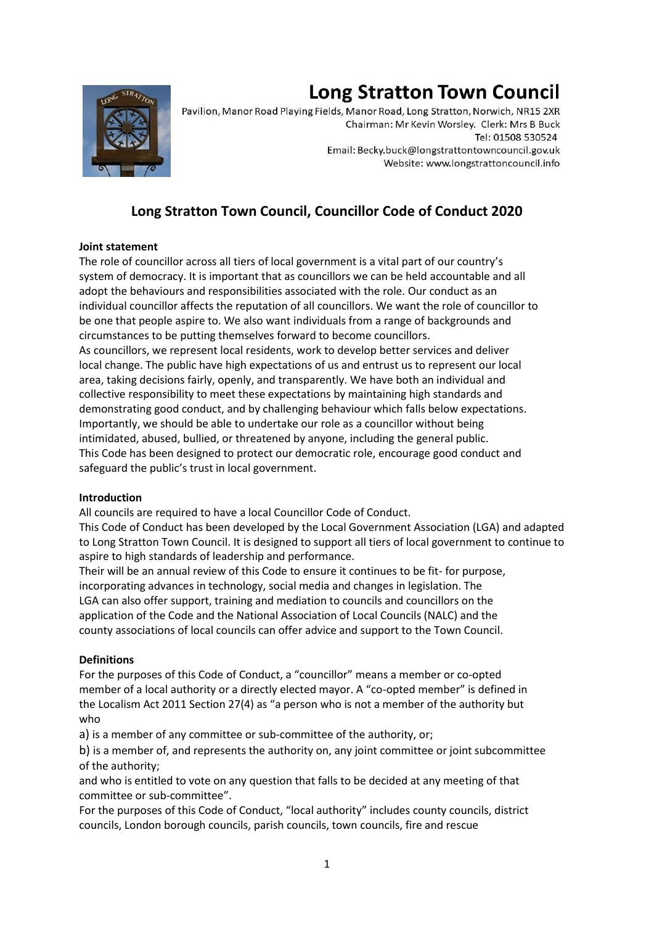# **Long Stratton Town Council**



Pavilion, Manor Road Playing Fields, Manor Road, Long Stratton, Norwich, NR15 2XR Chairman: Mr Kevin Worsley. Clerk: Mrs B Buck Tel: 01508 530524 Email: Becky.buck@longstrattontowncouncil.gov.uk Website: www.longstrattoncouncil.info

# **Long Stratton Town Council, Councillor Code of Conduct 2020**

# **Joint statement**

The role of councillor across all tiers of local government is a vital part of our country's system of democracy. It is important that as councillors we can be held accountable and all adopt the behaviours and responsibilities associated with the role. Our conduct as an individual councillor affects the reputation of all councillors. We want the role of councillor to be one that people aspire to. We also want individuals from a range of backgrounds and circumstances to be putting themselves forward to become councillors. As councillors, we represent local residents, work to develop better services and deliver local change. The public have high expectations of us and entrust us to represent our local area, taking decisions fairly, openly, and transparently. We have both an individual and collective responsibility to meet these expectations by maintaining high standards and demonstrating good conduct, and by challenging behaviour which falls below expectations. Importantly, we should be able to undertake our role as a councillor without being intimidated, abused, bullied, or threatened by anyone, including the general public. This Code has been designed to protect our democratic role, encourage good conduct and safeguard the public's trust in local government.

# **Introduction**

All councils are required to have a local Councillor Code of Conduct.

This Code of Conduct has been developed by the Local Government Association (LGA) and adapted to Long Stratton Town Council. It is designed to support all tiers of local government to continue to aspire to high standards of leadership and performance.

Their will be an annual review of this Code to ensure it continues to be fit- for purpose, incorporating advances in technology, social media and changes in legislation. The LGA can also offer support, training and mediation to councils and councillors on the application of the Code and the National Association of Local Councils (NALC) and the county associations of local councils can offer advice and support to the Town Council.

# **Definitions**

For the purposes of this Code of Conduct, a "councillor" means a member or co-opted member of a local authority or a directly elected mayor. A "co-opted member" is defined in the Localism Act 2011 Section 27(4) as "a person who is not a member of the authority but who

a) is a member of any committee or sub-committee of the authority, or;

b) is a member of, and represents the authority on, any joint committee or joint subcommittee of the authority;

and who is entitled to vote on any question that falls to be decided at any meeting of that committee or sub-committee".

For the purposes of this Code of Conduct, "local authority" includes county councils, district councils, London borough councils, parish councils, town councils, fire and rescue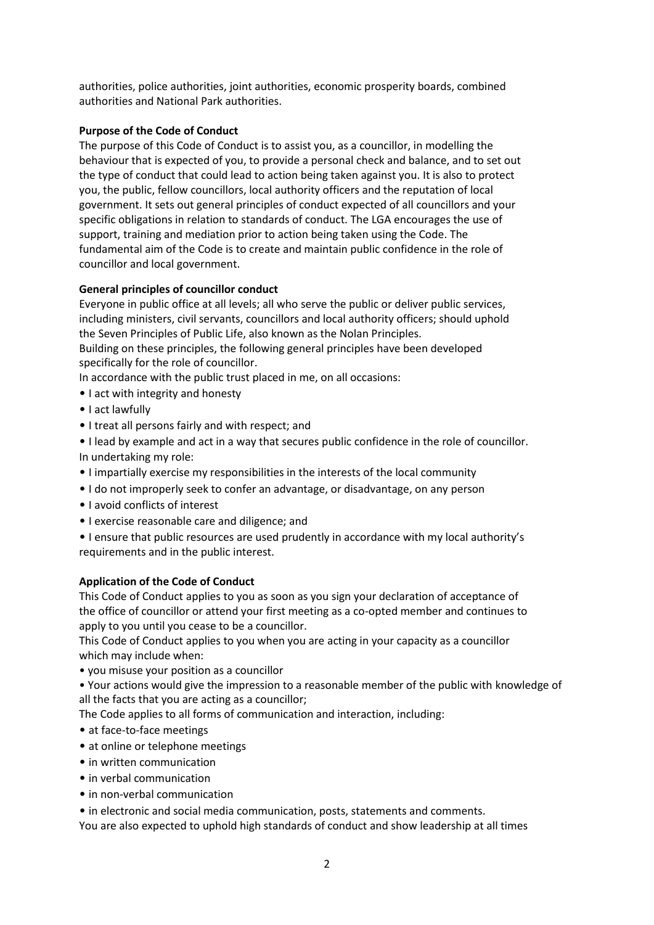authorities, police authorities, joint authorities, economic prosperity boards, combined authorities and National Park authorities.

#### **Purpose of the Code of Conduct**

The purpose of this Code of Conduct is to assist you, as a councillor, in modelling the behaviour that is expected of you, to provide a personal check and balance, and to set out the type of conduct that could lead to action being taken against you. It is also to protect you, the public, fellow councillors, local authority officers and the reputation of local government. It sets out general principles of conduct expected of all councillors and your specific obligations in relation to standards of conduct. The LGA encourages the use of support, training and mediation prior to action being taken using the Code. The fundamental aim of the Code is to create and maintain public confidence in the role of councillor and local government.

#### **General principles of councillor conduct**

Everyone in public office at all levels; all who serve the public or deliver public services, including ministers, civil servants, councillors and local authority officers; should uphold the Seven Principles of Public Life, also known as the Nolan Principles.

Building on these principles, the following general principles have been developed specifically for the role of councillor.

In accordance with the public trust placed in me, on all occasions:

- I act with integrity and honesty
- I act lawfully
- I treat all persons fairly and with respect; and
- I lead by example and act in a way that secures public confidence in the role of councillor. In undertaking my role:
- I impartially exercise my responsibilities in the interests of the local community
- I do not improperly seek to confer an advantage, or disadvantage, on any person
- I avoid conflicts of interest
- I exercise reasonable care and diligence; and
- I ensure that public resources are used prudently in accordance with my local authority's requirements and in the public interest.

#### **Application of the Code of Conduct**

This Code of Conduct applies to you as soon as you sign your declaration of acceptance of the office of councillor or attend your first meeting as a co-opted member and continues to apply to you until you cease to be a councillor.

This Code of Conduct applies to you when you are acting in your capacity as a councillor which may include when:

• you misuse your position as a councillor

• Your actions would give the impression to a reasonable member of the public with knowledge of all the facts that you are acting as a councillor;

The Code applies to all forms of communication and interaction, including:

- at face-to-face meetings
- at online or telephone meetings
- in written communication
- in verbal communication
- in non-verbal communication
- in electronic and social media communication, posts, statements and comments.

You are also expected to uphold high standards of conduct and show leadership at all times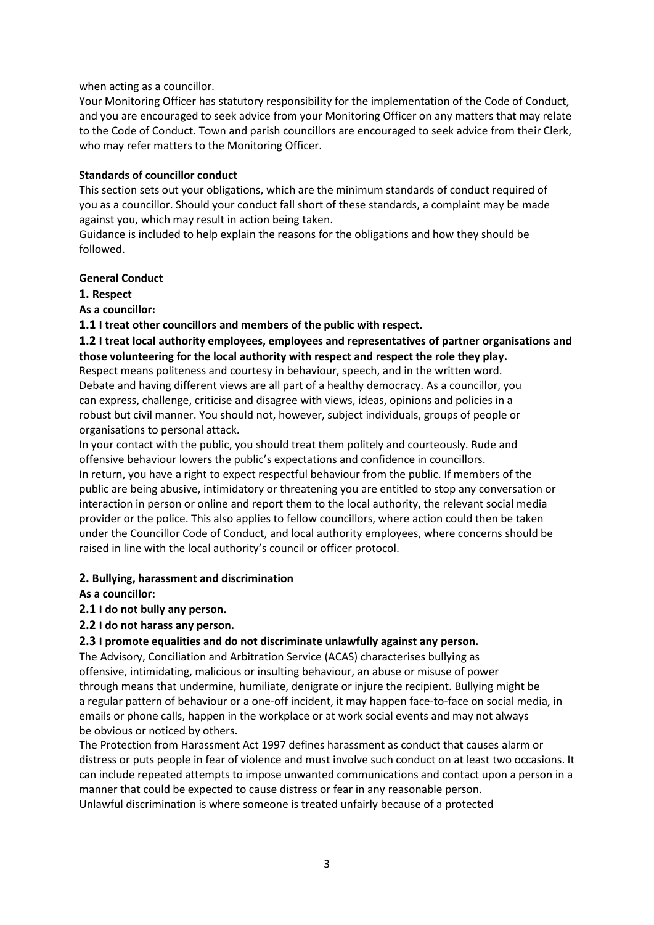#### when acting as a councillor.

Your Monitoring Officer has statutory responsibility for the implementation of the Code of Conduct, and you are encouraged to seek advice from your Monitoring Officer on any matters that may relate to the Code of Conduct. Town and parish councillors are encouraged to seek advice from their Clerk, who may refer matters to the Monitoring Officer.

#### **Standards of councillor conduct**

This section sets out your obligations, which are the minimum standards of conduct required of you as a councillor. Should your conduct fall short of these standards, a complaint may be made against you, which may result in action being taken.

Guidance is included to help explain the reasons for the obligations and how they should be followed.

#### **General Conduct**

**1. Respect**

# **As a councillor:**

# **1.1 I treat other councillors and members of the public with respect.**

# **1.2 I treat local authority employees, employees and representatives of partner organisations and those volunteering for the local authority with respect and respect the role they play.**

Respect means politeness and courtesy in behaviour, speech, and in the written word. Debate and having different views are all part of a healthy democracy. As a councillor, you can express, challenge, criticise and disagree with views, ideas, opinions and policies in a robust but civil manner. You should not, however, subject individuals, groups of people or organisations to personal attack.

In your contact with the public, you should treat them politely and courteously. Rude and offensive behaviour lowers the public's expectations and confidence in councillors. In return, you have a right to expect respectful behaviour from the public. If members of the public are being abusive, intimidatory or threatening you are entitled to stop any conversation or interaction in person or online and report them to the local authority, the relevant social media provider or the police. This also applies to fellow councillors, where action could then be taken under the Councillor Code of Conduct, and local authority employees, where concerns should be raised in line with the local authority's council or officer protocol.

# **2. Bullying, harassment and discrimination**

**As a councillor:**

# **2.1 I do not bully any person.**

# **2.2 I do not harass any person.**

# **2.3 I promote equalities and do not discriminate unlawfully against any person.**

The Advisory, Conciliation and Arbitration Service (ACAS) characterises bullying as offensive, intimidating, malicious or insulting behaviour, an abuse or misuse of power through means that undermine, humiliate, denigrate or injure the recipient. Bullying might be a regular pattern of behaviour or a one-off incident, it may happen face-to-face on social media, in emails or phone calls, happen in the workplace or at work social events and may not always be obvious or noticed by others.

The Protection from Harassment Act 1997 defines harassment as conduct that causes alarm or distress or puts people in fear of violence and must involve such conduct on at least two occasions. It can include repeated attempts to impose unwanted communications and contact upon a person in a manner that could be expected to cause distress or fear in any reasonable person.

Unlawful discrimination is where someone is treated unfairly because of a protected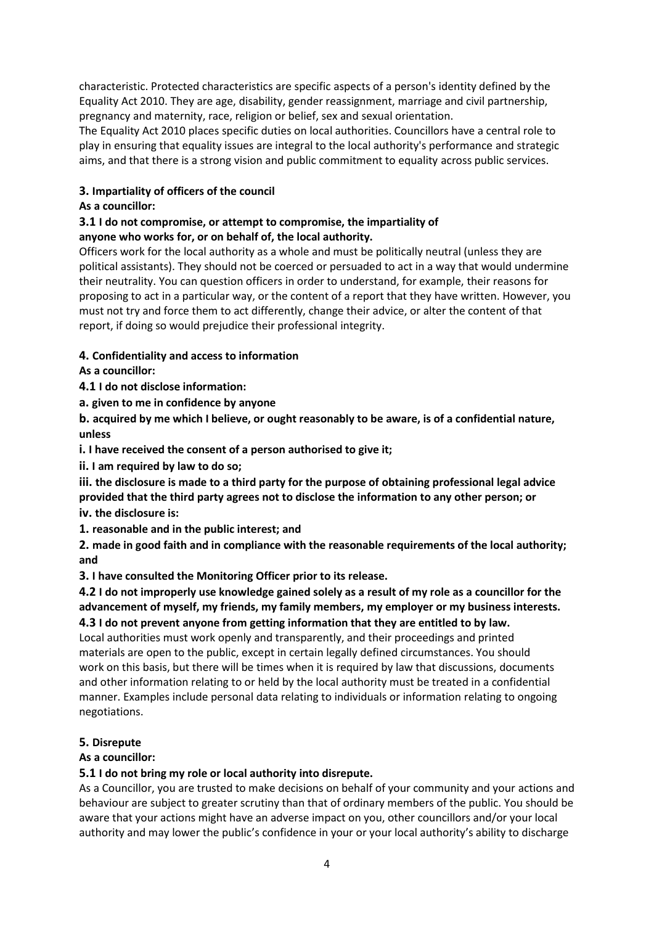characteristic. Protected characteristics are specific aspects of a person's identity defined by the Equality Act 2010. They are age, disability, gender reassignment, marriage and civil partnership, pregnancy and maternity, race, religion or belief, sex and sexual orientation.

The Equality Act 2010 places specific duties on local authorities. Councillors have a central role to play in ensuring that equality issues are integral to the local authority's performance and strategic aims, and that there is a strong vision and public commitment to equality across public services.

# **3. Impartiality of officers of the council**

# **As a councillor:**

# **3.1 I do not compromise, or attempt to compromise, the impartiality of anyone who works for, or on behalf of, the local authority.**

Officers work for the local authority as a whole and must be politically neutral (unless they are political assistants). They should not be coerced or persuaded to act in a way that would undermine their neutrality. You can question officers in order to understand, for example, their reasons for proposing to act in a particular way, or the content of a report that they have written. However, you must not try and force them to act differently, change their advice, or alter the content of that report, if doing so would prejudice their professional integrity.

# **4. Confidentiality and access to information**

**As a councillor:**

**4.1 I do not disclose information:**

**a. given to me in confidence by anyone**

**b. acquired by me which I believe, or ought reasonably to be aware, is of a confidential nature, unless**

**i. I have received the consent of a person authorised to give it;**

**ii. I am required by law to do so;**

**iii. the disclosure is made to a third party for the purpose of obtaining professional legal advice provided that the third party agrees not to disclose the information to any other person; or**

**iv. the disclosure is:**

**1. reasonable and in the public interest; and**

**2. made in good faith and in compliance with the reasonable requirements of the local authority; and**

**3. I have consulted the Monitoring Officer prior to its release.**

**4.2 I do not improperly use knowledge gained solely as a result of my role as a councillor for the advancement of myself, my friends, my family members, my employer or my business interests.**

**4.3 I do not prevent anyone from getting information that they are entitled to by law.** Local authorities must work openly and transparently, and their proceedings and printed materials are open to the public, except in certain legally defined circumstances. You should work on this basis, but there will be times when it is required by law that discussions, documents and other information relating to or held by the local authority must be treated in a confidential manner. Examples include personal data relating to individuals or information relating to ongoing negotiations.

# **5. Disrepute**

# **As a councillor:**

# **5.1 I do not bring my role or local authority into disrepute.**

As a Councillor, you are trusted to make decisions on behalf of your community and your actions and behaviour are subject to greater scrutiny than that of ordinary members of the public. You should be aware that your actions might have an adverse impact on you, other councillors and/or your local authority and may lower the public's confidence in your or your local authority's ability to discharge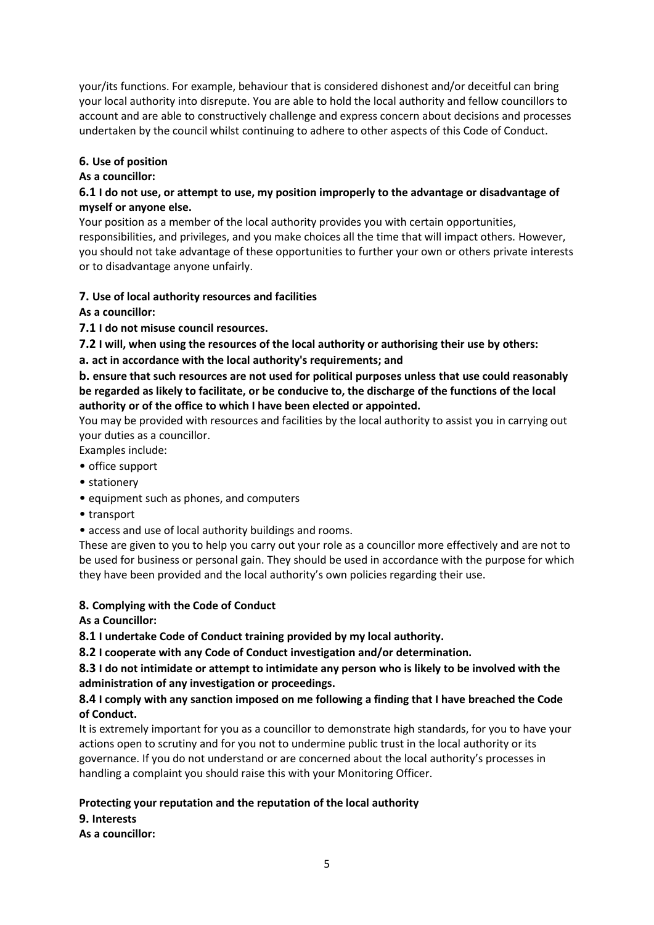your/its functions. For example, behaviour that is considered dishonest and/or deceitful can bring your local authority into disrepute. You are able to hold the local authority and fellow councillors to account and are able to constructively challenge and express concern about decisions and processes undertaken by the council whilst continuing to adhere to other aspects of this Code of Conduct.

# **6. Use of position**

# **As a councillor:**

# **6.1 I do not use, or attempt to use, my position improperly to the advantage or disadvantage of myself or anyone else.**

Your position as a member of the local authority provides you with certain opportunities, responsibilities, and privileges, and you make choices all the time that will impact others. However, you should not take advantage of these opportunities to further your own or others private interests or to disadvantage anyone unfairly.

# **7. Use of local authority resources and facilities**

**As a councillor:**

**7.1 I do not misuse council resources.**

**7.2 I will, when using the resources of the local authority or authorising their use by others:**

**a. act in accordance with the local authority's requirements; and**

# **b. ensure that such resources are not used for political purposes unless that use could reasonably be regarded as likely to facilitate, or be conducive to, the discharge of the functions of the local authority or of the office to which I have been elected or appointed.**

You may be provided with resources and facilities by the local authority to assist you in carrying out your duties as a councillor.

Examples include:

- office support
- stationery
- equipment such as phones, and computers
- transport
- access and use of local authority buildings and rooms.

These are given to you to help you carry out your role as a councillor more effectively and are not to be used for business or personal gain. They should be used in accordance with the purpose for which they have been provided and the local authority's own policies regarding their use.

# **8. Complying with the Code of Conduct**

**As a Councillor:**

**8.1 I undertake Code of Conduct training provided by my local authority.**

**8.2 I cooperate with any Code of Conduct investigation and/or determination.**

**8.3 I do not intimidate or attempt to intimidate any person who is likely to be involved with the administration of any investigation or proceedings.**

# **8.4 I comply with any sanction imposed on me following a finding that I have breached the Code of Conduct.**

It is extremely important for you as a councillor to demonstrate high standards, for you to have your actions open to scrutiny and for you not to undermine public trust in the local authority or its governance. If you do not understand or are concerned about the local authority's processes in handling a complaint you should raise this with your Monitoring Officer.

# **Protecting your reputation and the reputation of the local authority**

# **9. Interests**

**As a councillor:**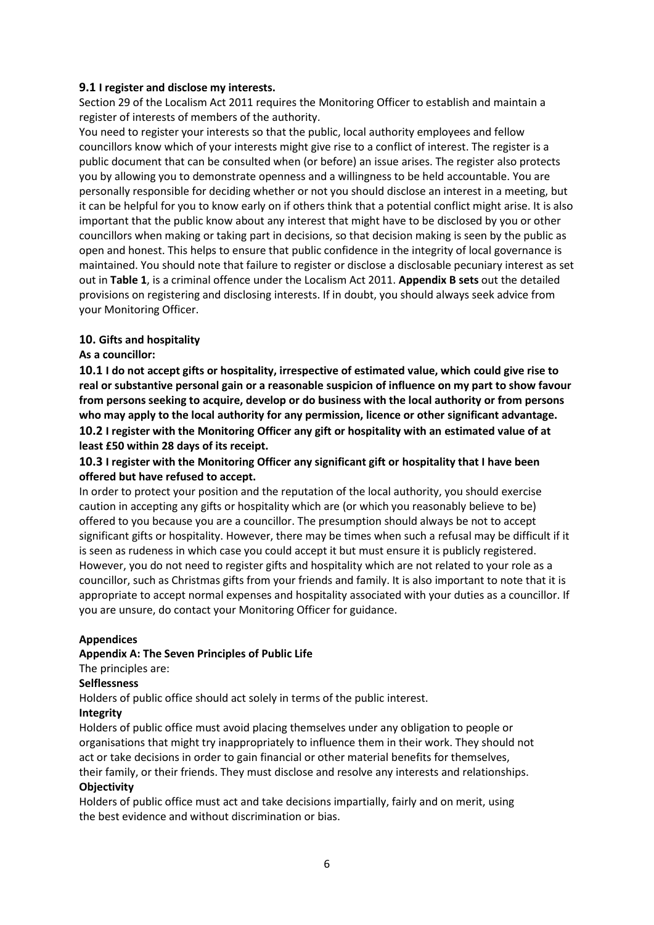#### **9.1 I register and disclose my interests.**

Section 29 of the Localism Act 2011 requires the Monitoring Officer to establish and maintain a register of interests of members of the authority.

You need to register your interests so that the public, local authority employees and fellow councillors know which of your interests might give rise to a conflict of interest. The register is a public document that can be consulted when (or before) an issue arises. The register also protects you by allowing you to demonstrate openness and a willingness to be held accountable. You are personally responsible for deciding whether or not you should disclose an interest in a meeting, but it can be helpful for you to know early on if others think that a potential conflict might arise. It is also important that the public know about any interest that might have to be disclosed by you or other councillors when making or taking part in decisions, so that decision making is seen by the public as open and honest. This helps to ensure that public confidence in the integrity of local governance is maintained. You should note that failure to register or disclose a disclosable pecuniary interest as set out in **Table 1**, is a criminal offence under the Localism Act 2011. **Appendix B sets** out the detailed provisions on registering and disclosing interests. If in doubt, you should always seek advice from your Monitoring Officer.

#### **10. Gifts and hospitality**

#### **As a councillor:**

**10.1 I do not accept gifts or hospitality, irrespective of estimated value, which could give rise to real or substantive personal gain or a reasonable suspicion of influence on my part to show favour from persons seeking to acquire, develop or do business with the local authority or from persons who may apply to the local authority for any permission, licence or other significant advantage. 10.2 I register with the Monitoring Officer any gift or hospitality with an estimated value of at least £50 within 28 days of its receipt.**

# **10.3 I register with the Monitoring Officer any significant gift or hospitality that I have been offered but have refused to accept.**

In order to protect your position and the reputation of the local authority, you should exercise caution in accepting any gifts or hospitality which are (or which you reasonably believe to be) offered to you because you are a councillor. The presumption should always be not to accept significant gifts or hospitality. However, there may be times when such a refusal may be difficult if it is seen as rudeness in which case you could accept it but must ensure it is publicly registered. However, you do not need to register gifts and hospitality which are not related to your role as a councillor, such as Christmas gifts from your friends and family. It is also important to note that it is appropriate to accept normal expenses and hospitality associated with your duties as a councillor. If you are unsure, do contact your Monitoring Officer for guidance.

#### **Appendices**

#### **Appendix A: The Seven Principles of Public Life**

# The principles are:

#### **Selflessness**

Holders of public office should act solely in terms of the public interest.

#### **Integrity**

Holders of public office must avoid placing themselves under any obligation to people or organisations that might try inappropriately to influence them in their work. They should not act or take decisions in order to gain financial or other material benefits for themselves,

#### their family, or their friends. They must disclose and resolve any interests and relationships. **Objectivity**

Holders of public office must act and take decisions impartially, fairly and on merit, using the best evidence and without discrimination or bias.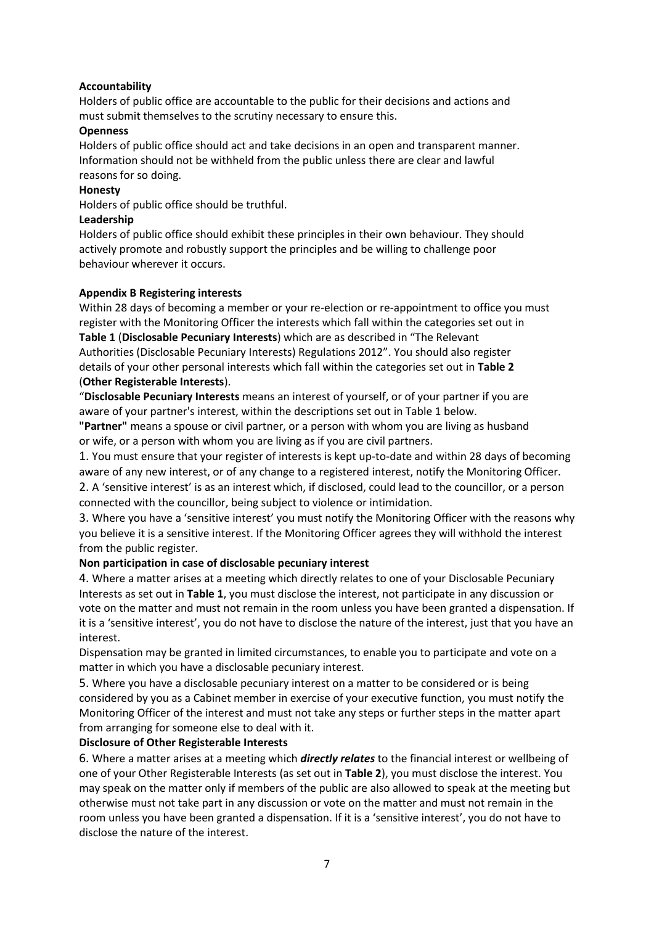# **Accountability**

Holders of public office are accountable to the public for their decisions and actions and must submit themselves to the scrutiny necessary to ensure this.

#### **Openness**

Holders of public office should act and take decisions in an open and transparent manner. Information should not be withheld from the public unless there are clear and lawful reasons for so doing.

#### **Honesty**

Holders of public office should be truthful.

#### **Leadership**

Holders of public office should exhibit these principles in their own behaviour. They should actively promote and robustly support the principles and be willing to challenge poor behaviour wherever it occurs.

#### **Appendix B Registering interests**

Within 28 days of becoming a member or your re-election or re-appointment to office you must register with the Monitoring Officer the interests which fall within the categories set out in **Table 1** (**Disclosable Pecuniary Interests**) which are as described in "The Relevant Authorities (Disclosable Pecuniary Interests) Regulations 2012". You should also register details of your other personal interests which fall within the categories set out in **Table 2** (**Other Registerable Interests**).

"**Disclosable Pecuniary Interests** means an interest of yourself, or of your partner if you are aware of your partner's interest, within the descriptions set out in Table 1 below.

**"Partner"** means a spouse or civil partner, or a person with whom you are living as husband or wife, or a person with whom you are living as if you are civil partners.

1. You must ensure that your register of interests is kept up-to-date and within 28 days of becoming aware of any new interest, or of any change to a registered interest, notify the Monitoring Officer.

2. A 'sensitive interest' is as an interest which, if disclosed, could lead to the councillor, or a person connected with the councillor, being subject to violence or intimidation.

3. Where you have a 'sensitive interest' you must notify the Monitoring Officer with the reasons why you believe it is a sensitive interest. If the Monitoring Officer agrees they will withhold the interest from the public register.

# **Non participation in case of disclosable pecuniary interest**

4. Where a matter arises at a meeting which directly relates to one of your Disclosable Pecuniary Interests as set out in **Table 1**, you must disclose the interest, not participate in any discussion or vote on the matter and must not remain in the room unless you have been granted a dispensation. If it is a 'sensitive interest', you do not have to disclose the nature of the interest, just that you have an interest.

Dispensation may be granted in limited circumstances, to enable you to participate and vote on a matter in which you have a disclosable pecuniary interest.

5. Where you have a disclosable pecuniary interest on a matter to be considered or is being considered by you as a Cabinet member in exercise of your executive function, you must notify the Monitoring Officer of the interest and must not take any steps or further steps in the matter apart from arranging for someone else to deal with it.

#### **Disclosure of Other Registerable Interests**

6. Where a matter arises at a meeting which *directly relates* to the financial interest or wellbeing of one of your Other Registerable Interests (as set out in **Table 2**), you must disclose the interest. You may speak on the matter only if members of the public are also allowed to speak at the meeting but otherwise must not take part in any discussion or vote on the matter and must not remain in the room unless you have been granted a dispensation. If it is a 'sensitive interest', you do not have to disclose the nature of the interest.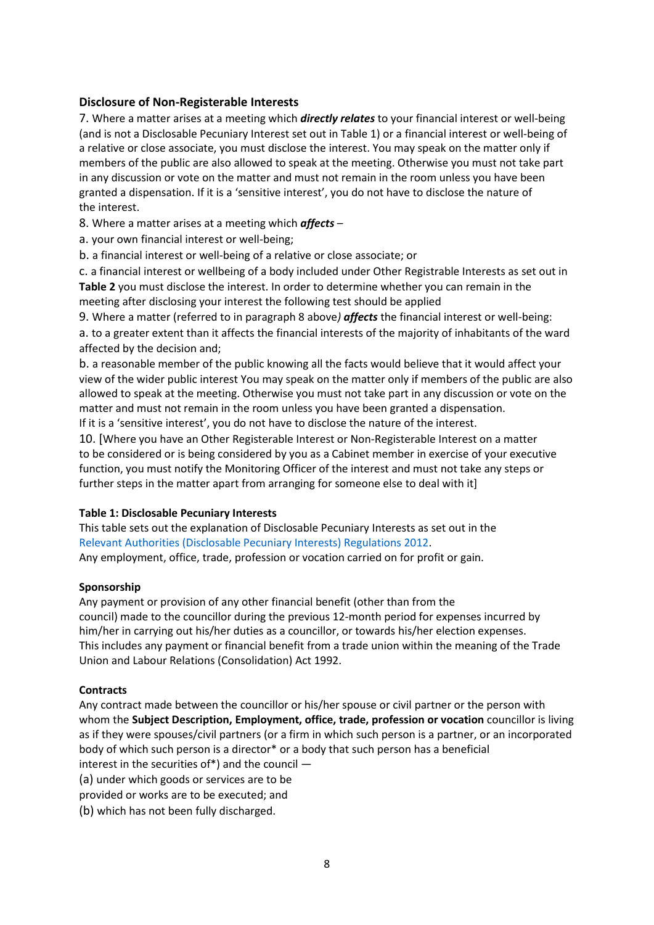# **Disclosure of Non-Registerable Interests**

7. Where a matter arises at a meeting which *directly relates* to your financial interest or well-being (and is not a Disclosable Pecuniary Interest set out in Table 1) or a financial interest or well-being of a relative or close associate, you must disclose the interest. You may speak on the matter only if members of the public are also allowed to speak at the meeting. Otherwise you must not take part in any discussion or vote on the matter and must not remain in the room unless you have been granted a dispensation. If it is a 'sensitive interest', you do not have to disclose the nature of the interest.

8. Where a matter arises at a meeting which *affects* –

a. your own financial interest or well-being;

b. a financial interest or well-being of a relative or close associate; or

c. a financial interest or wellbeing of a body included under Other Registrable Interests as set out in **Table 2** you must disclose the interest. In order to determine whether you can remain in the meeting after disclosing your interest the following test should be applied

9. Where a matter (referred to in paragraph 8 above*) affects* the financial interest or well-being: a. to a greater extent than it affects the financial interests of the majority of inhabitants of the ward affected by the decision and;

b. a reasonable member of the public knowing all the facts would believe that it would affect your view of the wider public interest You may speak on the matter only if members of the public are also allowed to speak at the meeting. Otherwise you must not take part in any discussion or vote on the matter and must not remain in the room unless you have been granted a dispensation.

If it is a 'sensitive interest', you do not have to disclose the nature of the interest.

10. [Where you have an Other Registerable Interest or Non-Registerable Interest on a matter to be considered or is being considered by you as a Cabinet member in exercise of your executive function, you must notify the Monitoring Officer of the interest and must not take any steps or further steps in the matter apart from arranging for someone else to deal with it]

#### **Table 1: Disclosable Pecuniary Interests**

This table sets out the explanation of Disclosable Pecuniary Interests as set out in the Relevant Authorities (Disclosable Pecuniary Interests) Regulations 2012. Any employment, office, trade, profession or vocation carried on for profit or gain.

#### **Sponsorship**

Any payment or provision of any other financial benefit (other than from the council) made to the councillor during the previous 12-month period for expenses incurred by him/her in carrying out his/her duties as a councillor, or towards his/her election expenses. This includes any payment or financial benefit from a trade union within the meaning of the Trade Union and Labour Relations (Consolidation) Act 1992.

# **Contracts**

Any contract made between the councillor or his/her spouse or civil partner or the person with whom the **Subject Description, Employment, office, trade, profession or vocation** councillor is living as if they were spouses/civil partners (or a firm in which such person is a partner, or an incorporated body of which such person is a director\* or a body that such person has a beneficial interest in the securities of\*) and the council —

(a) under which goods or services are to be

provided or works are to be executed; and

(b) which has not been fully discharged.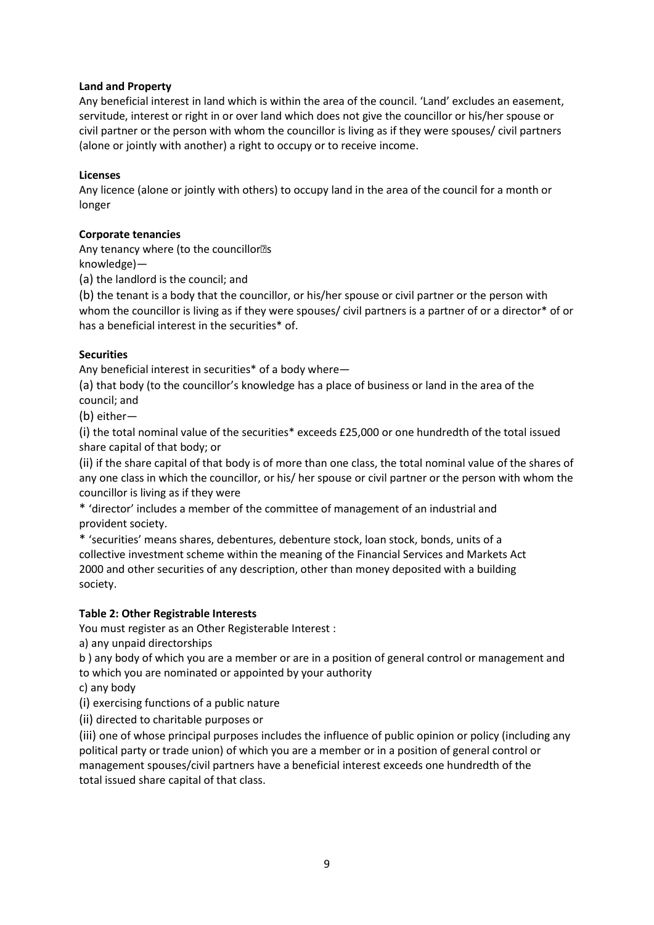#### **Land and Property**

Any beneficial interest in land which is within the area of the council. 'Land' excludes an easement, servitude, interest or right in or over land which does not give the councillor or his/her spouse or civil partner or the person with whom the councillor is living as if they were spouses/ civil partners (alone or jointly with another) a right to occupy or to receive income.

#### **Licenses**

Any licence (alone or jointly with others) to occupy land in the area of the council for a month or longer

#### **Corporate tenancies**

Any tenancy where (to the councillor<sup>3</sup>s knowledge)—

(a) the landlord is the council; and

(b) the tenant is a body that the councillor, or his/her spouse or civil partner or the person with whom the councillor is living as if they were spouses/ civil partners is a partner of or a director<sup>\*</sup> of or has a beneficial interest in the securities\* of.

#### **Securities**

Any beneficial interest in securities\* of a body where—

(a) that body (to the councillor's knowledge has a place of business or land in the area of the council; and

(b) either—

(i) the total nominal value of the securities\* exceeds £25,000 or one hundredth of the total issued share capital of that body; or

(ii) if the share capital of that body is of more than one class, the total nominal value of the shares of any one class in which the councillor, or his/ her spouse or civil partner or the person with whom the councillor is living as if they were

\* 'director' includes a member of the committee of management of an industrial and provident society.

\* 'securities' means shares, debentures, debenture stock, loan stock, bonds, units of a collective investment scheme within the meaning of the Financial Services and Markets Act 2000 and other securities of any description, other than money deposited with a building society.

# **Table 2: Other Registrable Interests**

You must register as an Other Registerable Interest :

a) any unpaid directorships

b ) any body of which you are a member or are in a position of general control or management and to which you are nominated or appointed by your authority

c) any body

(i) exercising functions of a public nature

(ii) directed to charitable purposes or

(iii) one of whose principal purposes includes the influence of public opinion or policy (including any political party or trade union) of which you are a member or in a position of general control or management spouses/civil partners have a beneficial interest exceeds one hundredth of the total issued share capital of that class.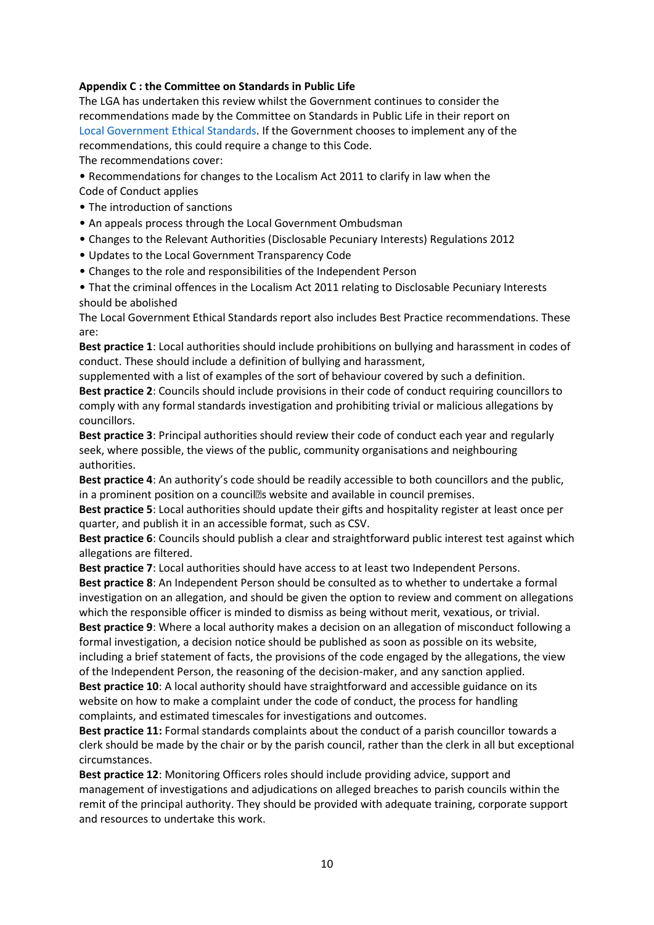# **Appendix C : the Committee on Standards in Public Life**

The LGA has undertaken this review whilst the Government continues to consider the recommendations made by the Committee on Standards in Public Life in their report on Local Government Ethical Standards. If the Government chooses to implement any of the recommendations, this could require a change to this Code.

The recommendations cover:

• Recommendations for changes to the Localism Act 2011 to clarify in law when the Code of Conduct applies

- The introduction of sanctions
- An appeals process through the Local Government Ombudsman
- Changes to the Relevant Authorities (Disclosable Pecuniary Interests) Regulations 2012
- Updates to the Local Government Transparency Code
- Changes to the role and responsibilities of the Independent Person

• That the criminal offences in the Localism Act 2011 relating to Disclosable Pecuniary Interests should be abolished

The Local Government Ethical Standards report also includes Best Practice recommendations. These are:

**Best practice 1**: Local authorities should include prohibitions on bullying and harassment in codes of conduct. These should include a definition of bullying and harassment,

supplemented with a list of examples of the sort of behaviour covered by such a definition.

**Best practice 2**: Councils should include provisions in their code of conduct requiring councillors to comply with any formal standards investigation and prohibiting trivial or malicious allegations by councillors.

**Best practice 3**: Principal authorities should review their code of conduct each year and regularly seek, where possible, the views of the public, community organisations and neighbouring authorities.

**Best practice 4**: An authority's code should be readily accessible to both councillors and the public, in a prominent position on a council<sup>®</sup>s website and available in council premises.

**Best practice 5**: Local authorities should update their gifts and hospitality register at least once per quarter, and publish it in an accessible format, such as CSV.

**Best practice 6**: Councils should publish a clear and straightforward public interest test against which allegations are filtered.

**Best practice 7**: Local authorities should have access to at least two Independent Persons. **Best practice 8**: An Independent Person should be consulted as to whether to undertake a formal

investigation on an allegation, and should be given the option to review and comment on allegations which the responsible officer is minded to dismiss as being without merit, vexatious, or trivial. **Best practice 9**: Where a local authority makes a decision on an allegation of misconduct following a

formal investigation, a decision notice should be published as soon as possible on its website, including a brief statement of facts, the provisions of the code engaged by the allegations, the view of the Independent Person, the reasoning of the decision-maker, and any sanction applied. **Best practice 10**: A local authority should have straightforward and accessible guidance on its website on how to make a complaint under the code of conduct, the process for handling complaints, and estimated timescales for investigations and outcomes.

**Best practice 11:** Formal standards complaints about the conduct of a parish councillor towards a clerk should be made by the chair or by the parish council, rather than the clerk in all but exceptional circumstances.

**Best practice 12**: Monitoring Officers roles should include providing advice, support and management of investigations and adjudications on alleged breaches to parish councils within the remit of the principal authority. They should be provided with adequate training, corporate support and resources to undertake this work.